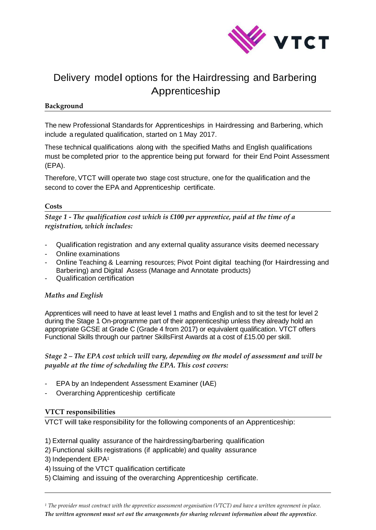

# Delivery model options for the Hairdressing and Barbering Apprenticeship

### **Background**

The new Professional Standards for Apprenticeships in Hairdressing and Barbering, which include a regulated qualification, started on 1 May 2017.

These technical qualifications along with the specified Maths and English qualifications must be completed prior to the apprentice being put forward for their End Point Assessment (EPA).

Therefore, VTCT will operate two stage cost structure, one for the qualification and the second to cover the EPA and Apprenticeship certificate.

#### **Costs**

*Stage 1 - The qualification cost which is £100 per apprentice, paid at the time of a registration, which includes:*

- Qualification registration and any external quality assurance visits deemed necessary
- Online examinations
- Online Teaching & Learning resources; Pivot Point digital teaching (for Hairdressing and Barbering) and Digital Assess (Manage and Annotate products)
- Qualification certification

## *Maths and English*

Apprentices will need to have at least level 1 maths and English and to sit the test for level 2 during the Stage 1 On-programme part of their apprenticeship unless they already hold an appropriate GCSE at Grade C (Grade 4 from 2017) or equivalent qualification. VTCT offers Functional Skills through our partner SkillsFirst Awards at a cost of £15.00 per skill.

## *Stage 2 – The EPA cost which will vary, depending on the model of assessment and will be payable at the time of scheduling the EPA. This cost covers:*

- EPA by an Independent Assessment Examiner (IAE)
- Overarching Apprenticeship certificate

#### **VTCT responsibilities**

VTCT will take responsibility for the following components of an Apprenticeship:

- 1) External quality assurance of the hairdressing/barbering qualification
- 2) Functional skills registrations (if applicable) and quality assurance
- 3) Independent EPA<sup>1</sup>
- 4) Issuing of the VTCT qualification certificate
- 5) Claiming and issuing of the overarching Apprenticeship certificate.

*<sup>1</sup> The provider must contract with the apprentice assessment organisation (VTCT) and have a written agreement in place. The written agreement must set out the arrangements for sharing relevant information about the apprentice.*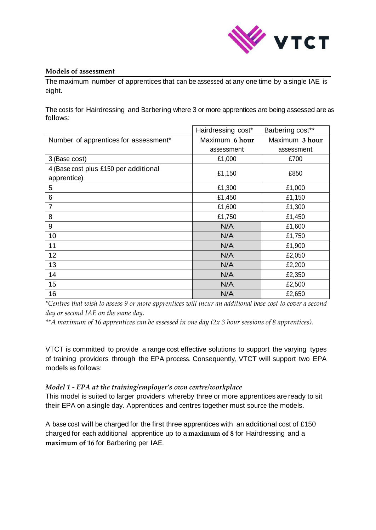

#### **Models of assessment**

The maximum number of apprentices that can be assessed at any one time by a single IAE is eight.

The costs for Hairdressing and Barbering where 3 or more apprentices are being assessed are as follows:

|                                       | Hairdressing cost* | Barbering cost** |
|---------------------------------------|--------------------|------------------|
| Number of apprentices for assessment* | Maximum 6 hour     | Maximum 3 hour   |
|                                       | assessment         | assessment       |
| 3 (Base cost)                         | £1,000             | £700             |
| 4 (Base cost plus £150 per additional | £1,150             | £850             |
| apprentice)                           |                    |                  |
| 5                                     | £1,300             | £1,000           |
| 6                                     | £1,450             | £1,150           |
| $\overline{7}$                        | £1,600             | £1,300           |
| 8                                     | £1,750             | £1,450           |
| 9                                     | N/A                | £1,600           |
| 10                                    | N/A                | £1,750           |
| 11                                    | N/A                | £1,900           |
| 12                                    | N/A                | £2,050           |
| 13                                    | N/A                | £2,200           |
| 14                                    | N/A                | £2,350           |
| 15                                    | N/A                | £2,500           |
| 16                                    | N/A                | £2,650           |

*\*Centres that wish to assess 9 or more apprentices will incur an additional base cost to cover a second day or second IAE on the same day.*

*\*\*A maximum of 16 apprentices can be assessed in one day (2x 3 hour sessions of 8 apprentices).*

VTCT is committed to provide a range cost effective solutions to support the varying types of training providers through the EPA process. Consequently, VTCT will support two EPA models as follows:

#### *Model 1 - EPA at the training/employer's own centre/workplace*

This model is suited to larger providers whereby three or more apprentices are ready to sit their EPA on a single day. Apprentices and centres together must source the models.

A base cost will be charged for the first three apprentices with an additional cost of £150 charged for each additional apprentice up to a **maximum of 8** for Hairdressing and a **maximum of 16** for Barbering per IAE.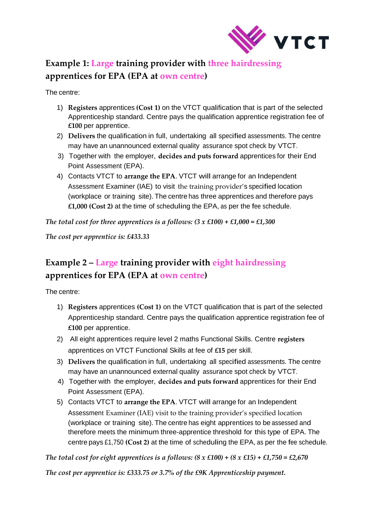

# **Example 1: Large training provider with three hairdressing apprentices for EPA (EPA at own centre)**

The centre:

- 1) **Registers** apprentices **(Cost 1)** on the VTCT qualification that is part of the selected Apprenticeship standard. Centre pays the qualification apprentice registration fee of **£100** per apprentice.
- 2) **Delivers** the qualification in full, undertaking all specified assessments. The centre may have an unannounced external quality assurance spot check by VTCT.
- 3) Together with the employer, **decides and puts forward** apprentices for their End Point Assessment (EPA).
- 4) Contacts VTCT to **arrange the EPA**. VTCT will arrange for an Independent Assessment Examiner (IAE) to visit the training provider's specified location (workplace or training site). The centre has three apprentices and therefore pays **£1,000 (Cost 2)** at the time of scheduling the EPA, as per the fee schedule.

*The total cost for three apprentices is a follows: (3 x £100) + £1,000 = £1,300*

*The cost per apprentice is: £433.33*

# **Example 2 – Large training provider with eight hairdressing apprentices for EPA (EPA at own centre)**

The centre:

- 1) **Registers** apprentices **(Cost 1)** on the VTCT qualification that is part of the selected Apprenticeship standard. Centre pays the qualification apprentice registration fee of **£100** per apprentice.
- 2) All eight apprentices require level 2 maths Functional Skills. Centre **registers**  apprentices on VTCT Functional Skills at fee of **£15** per skill.
- 3) **Delivers** the qualification in full, undertaking all specified assessments. The centre may have an unannounced external quality assurance spot check by VTCT.
- 4) Together with the employer, **decides and puts forward** apprentices for their End Point Assessment (EPA).
- 5) Contacts VTCT to **arrange the EPA**. VTCT will arrange for an Independent Assessment Examiner (IAE) visit to the training provider's specified location (workplace or training site). The centre has eight apprentices to be assessed and therefore meets the minimum three-apprentice threshold for this type of EPA. The centre pays £1,750 **(Cost 2)** at the time of scheduling the EPA, as per the fee schedule.

*The total cost for eight apprentices is a follows: (8 x £100) + (8 x £15) + £1,750 = £2,670*

*The cost per apprentice is: £333.75 or 3.7% of the £9K Apprenticeship payment.*